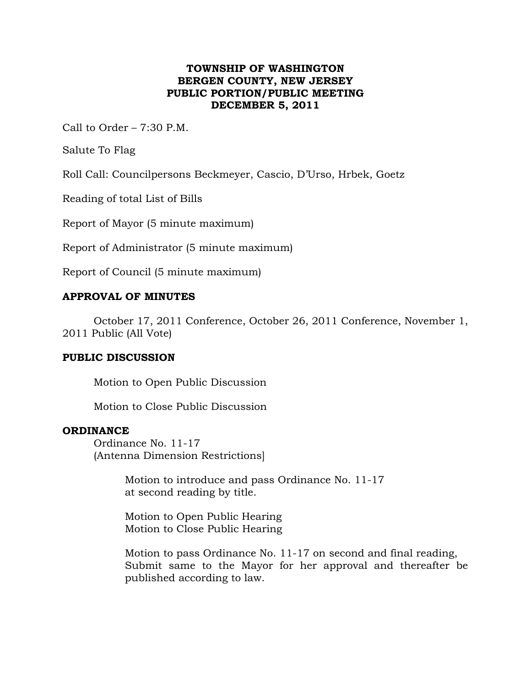# **TOWNSHIP OF WASHINGTON BERGEN COUNTY, NEW JERSEY PUBLIC PORTION/PUBLIC MEETING DECEMBER 5, 2011**

Call to Order – 7:30 P.M.

Salute To Flag

Roll Call: Councilpersons Beckmeyer, Cascio, D'Urso, Hrbek, Goetz

Reading of total List of Bills

Report of Mayor (5 minute maximum)

Report of Administrator (5 minute maximum)

Report of Council (5 minute maximum)

## **APPROVAL OF MINUTES**

October 17, 2011 Conference, October 26, 2011 Conference, November 1, 2011 Public (All Vote)

### **PUBLIC DISCUSSION**

Motion to Open Public Discussion

Motion to Close Public Discussion

### **ORDINANCE**

Ordinance No. 11-17 (Antenna Dimension Restrictions]

> Motion to introduce and pass Ordinance No. 11-17 at second reading by title.

Motion to Open Public Hearing Motion to Close Public Hearing

Motion to pass Ordinance No. 11-17 on second and final reading, Submit same to the Mayor for her approval and thereafter be published according to law.